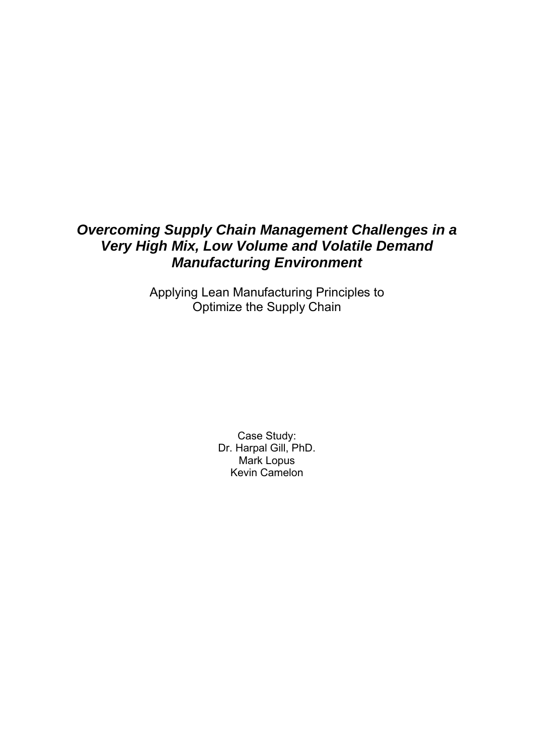# *Overcoming Supply Chain Management Challenges in a Very High Mix, Low Volume and Volatile Demand Manufacturing Environment*

Applying Lean Manufacturing Principles to Optimize the Supply Chain

> Case Study: Dr. Harpal Gill, PhD. Mark Lopus Kevin Camelon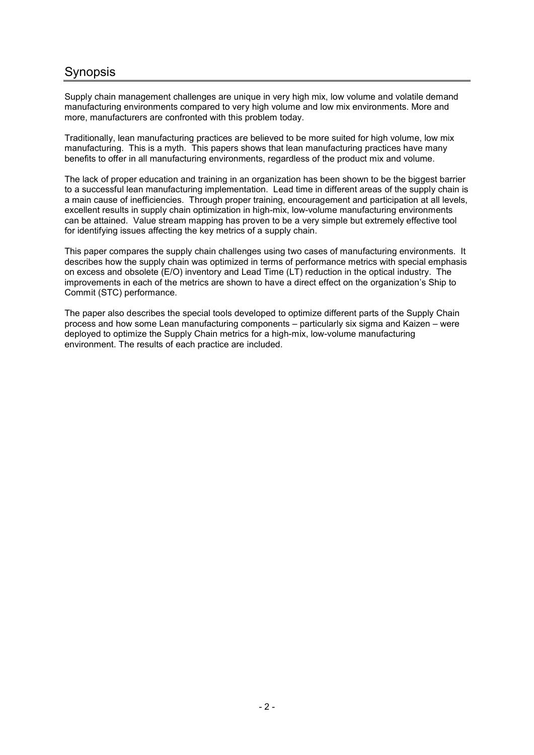# **Synopsis**

Supply chain management challenges are unique in very high mix, low volume and volatile demand manufacturing environments compared to very high volume and low mix environments. More and more, manufacturers are confronted with this problem today.

Traditionally, lean manufacturing practices are believed to be more suited for high volume, low mix manufacturing. This is a myth. This papers shows that lean manufacturing practices have many benefits to offer in all manufacturing environments, regardless of the product mix and volume.

The lack of proper education and training in an organization has been shown to be the biggest barrier to a successful lean manufacturing implementation. Lead time in different areas of the supply chain is a main cause of inefficiencies. Through proper training, encouragement and participation at all levels, excellent results in supply chain optimization in high-mix, low-volume manufacturing environments can be attained. Value stream mapping has proven to be a very simple but extremely effective tool for identifying issues affecting the key metrics of a supply chain.

This paper compares the supply chain challenges using two cases of manufacturing environments. It describes how the supply chain was optimized in terms of performance metrics with special emphasis on excess and obsolete (E/O) inventory and Lead Time (LT) reduction in the optical industry. The improvements in each of the metrics are shown to have a direct effect on the organization's Ship to Commit (STC) performance.

The paper also describes the special tools developed to optimize different parts of the Supply Chain process and how some Lean manufacturing components – particularly six sigma and Kaizen – were deployed to optimize the Supply Chain metrics for a high-mix, low-volume manufacturing environment. The results of each practice are included.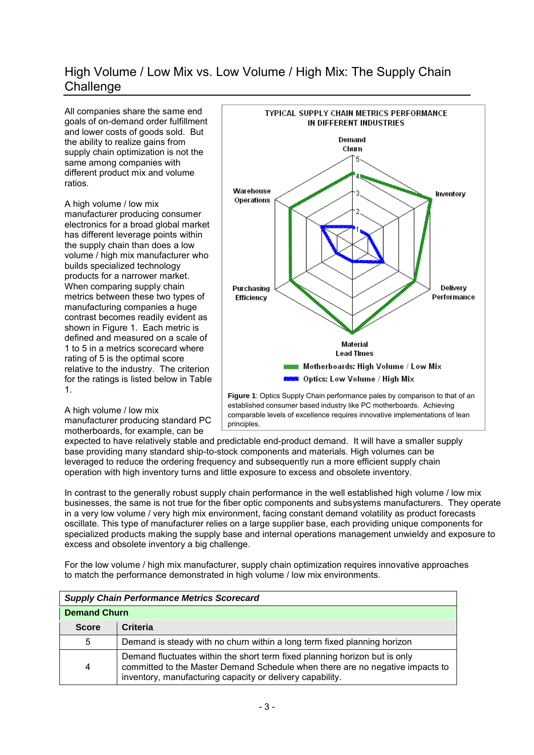# High Volume / Low Mix vs. Low Volume / High Mix: The Supply Chain **Challenge**

All companies share the same end goals of on-demand order fulfillment and lower costs of goods sold. But the ability to realize gains from supply chain optimization is not the same among companies with different product mix and volume ratios.

A high volume / low mix manufacturer producing consumer electronics for a broad global market has different leverage points within the supply chain than does a low volume / high mix manufacturer who builds specialized technology products for a narrower market. When comparing supply chain metrics between these two types of manufacturing companies a huge contrast becomes readily evident as shown in Figure 1. Each metric is defined and measured on a scale of 1 to 5 in a metrics scorecard where rating of 5 is the optimal score relative to the industry. The criterion for the ratings is listed below in Table 1.



A high volume / low mix manufacturer producing standard PC motherboards, for example, can be

established consumer based industry like PC motherboards. Achieving comparable levels of excellence requires innovative implementations of lean principles.

expected to have relatively stable and predictable end-product demand. It will have a smaller supply base providing many standard ship-to-stock components and materials. High volumes can be leveraged to reduce the ordering frequency and subsequently run a more efficient supply chain operation with high inventory turns and little exposure to excess and obsolete inventory.

In contrast to the generally robust supply chain performance in the well established high volume / low mix businesses, the same is not true for the fiber optic components and subsystems manufacturers. They operate in a very low volume / very high mix environment, facing constant demand volatility as product forecasts oscillate. This type of manufacturer relies on a large supplier base, each providing unique components for specialized products making the supply base and internal operations management unwieldy and exposure to excess and obsolete inventory a big challenge.

For the low volume / high mix manufacturer, supply chain optimization requires innovative approaches to match the performance demonstrated in high volume / low mix environments.

| <b>Supply Chain Performance Metrics Scorecard</b> |                                                                                                                                                                                                                          |  |
|---------------------------------------------------|--------------------------------------------------------------------------------------------------------------------------------------------------------------------------------------------------------------------------|--|
| <b>Demand Churn</b>                               |                                                                                                                                                                                                                          |  |
| <b>Score</b>                                      | Criteria                                                                                                                                                                                                                 |  |
| 5                                                 | Demand is steady with no churn within a long term fixed planning horizon                                                                                                                                                 |  |
| 4                                                 | Demand fluctuates within the short term fixed planning horizon but is only<br>committed to the Master Demand Schedule when there are no negative impacts to<br>inventory, manufacturing capacity or delivery capability. |  |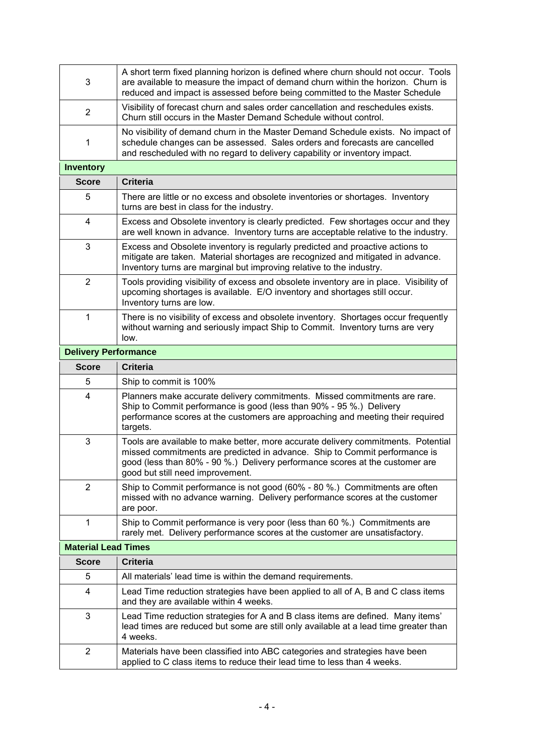| 3                           | A short term fixed planning horizon is defined where churn should not occur. Tools<br>are available to measure the impact of demand churn within the horizon. Churn is<br>reduced and impact is assessed before being committed to the Master Schedule                              |
|-----------------------------|-------------------------------------------------------------------------------------------------------------------------------------------------------------------------------------------------------------------------------------------------------------------------------------|
| $\overline{2}$              | Visibility of forecast churn and sales order cancellation and reschedules exists.<br>Churn still occurs in the Master Demand Schedule without control.                                                                                                                              |
| 1                           | No visibility of demand churn in the Master Demand Schedule exists. No impact of<br>schedule changes can be assessed. Sales orders and forecasts are cancelled<br>and rescheduled with no regard to delivery capability or inventory impact.                                        |
| <b>Inventory</b>            |                                                                                                                                                                                                                                                                                     |
| <b>Score</b>                | <b>Criteria</b>                                                                                                                                                                                                                                                                     |
| 5                           | There are little or no excess and obsolete inventories or shortages. Inventory<br>turns are best in class for the industry.                                                                                                                                                         |
| 4                           | Excess and Obsolete inventory is clearly predicted. Few shortages occur and they<br>are well known in advance. Inventory turns are acceptable relative to the industry.                                                                                                             |
| 3                           | Excess and Obsolete inventory is regularly predicted and proactive actions to<br>mitigate are taken. Material shortages are recognized and mitigated in advance.<br>Inventory turns are marginal but improving relative to the industry.                                            |
| $\overline{2}$              | Tools providing visibility of excess and obsolete inventory are in place. Visibility of<br>upcoming shortages is available. E/O inventory and shortages still occur.<br>Inventory turns are low.                                                                                    |
| 1                           | There is no visibility of excess and obsolete inventory. Shortages occur frequently<br>without warning and seriously impact Ship to Commit. Inventory turns are very<br>low.                                                                                                        |
| <b>Delivery Performance</b> |                                                                                                                                                                                                                                                                                     |
| <b>Score</b>                | <b>Criteria</b>                                                                                                                                                                                                                                                                     |
| 5                           | Ship to commit is 100%                                                                                                                                                                                                                                                              |
| 4                           | Planners make accurate delivery commitments. Missed commitments are rare.<br>Ship to Commit performance is good (less than 90% - 95 %.) Delivery<br>performance scores at the customers are approaching and meeting their required<br>targets.                                      |
| 3                           |                                                                                                                                                                                                                                                                                     |
|                             | Tools are available to make better, more accurate delivery commitments. Potential<br>missed commitments are predicted in advance. Ship to Commit performance is<br>good (less than 80% - 90 %.) Delivery performance scores at the customer are<br>good but still need improvement. |
| $\overline{2}$              | Ship to Commit performance is not good (60% - 80 %.) Commitments are often<br>missed with no advance warning. Delivery performance scores at the customer<br>are poor.                                                                                                              |
| 1                           | Ship to Commit performance is very poor (less than 60 %.) Commitments are<br>rarely met. Delivery performance scores at the customer are unsatisfactory.                                                                                                                            |
| <b>Material Lead Times</b>  |                                                                                                                                                                                                                                                                                     |
| <b>Score</b>                | <b>Criteria</b>                                                                                                                                                                                                                                                                     |
| 5                           | All materials' lead time is within the demand requirements.                                                                                                                                                                                                                         |
| 4                           | Lead Time reduction strategies have been applied to all of A, B and C class items<br>and they are available within 4 weeks.                                                                                                                                                         |
| 3                           | Lead Time reduction strategies for A and B class items are defined. Many items'<br>lead times are reduced but some are still only available at a lead time greater than<br>4 weeks.                                                                                                 |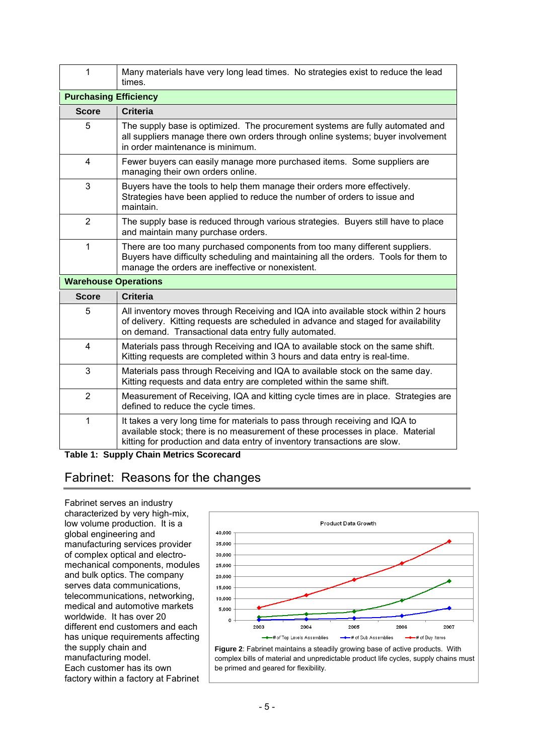| 1                            | Many materials have very long lead times. No strategies exist to reduce the lead<br>times.                                                                                                                                                  |  |  |  |
|------------------------------|---------------------------------------------------------------------------------------------------------------------------------------------------------------------------------------------------------------------------------------------|--|--|--|
| <b>Purchasing Efficiency</b> |                                                                                                                                                                                                                                             |  |  |  |
| <b>Score</b>                 | <b>Criteria</b>                                                                                                                                                                                                                             |  |  |  |
| 5                            | The supply base is optimized. The procurement systems are fully automated and<br>all suppliers manage there own orders through online systems; buyer involvement<br>in order maintenance is minimum.                                        |  |  |  |
| $\overline{4}$               | Fewer buyers can easily manage more purchased items. Some suppliers are<br>managing their own orders online.                                                                                                                                |  |  |  |
| 3                            | Buyers have the tools to help them manage their orders more effectively.<br>Strategies have been applied to reduce the number of orders to issue and<br>maintain.                                                                           |  |  |  |
| $\overline{2}$               | The supply base is reduced through various strategies. Buyers still have to place<br>and maintain many purchase orders.                                                                                                                     |  |  |  |
| 1                            | There are too many purchased components from too many different suppliers.<br>Buyers have difficulty scheduling and maintaining all the orders. Tools for them to<br>manage the orders are ineffective or nonexistent.                      |  |  |  |
|                              | <b>Warehouse Operations</b>                                                                                                                                                                                                                 |  |  |  |
| <b>Score</b>                 | <b>Criteria</b>                                                                                                                                                                                                                             |  |  |  |
| 5                            | All inventory moves through Receiving and IQA into available stock within 2 hours<br>of delivery. Kitting requests are scheduled in advance and staged for availability<br>on demand. Transactional data entry fully automated.             |  |  |  |
| 4                            | Materials pass through Receiving and IQA to available stock on the same shift.<br>Kitting requests are completed within 3 hours and data entry is real-time.                                                                                |  |  |  |
| 3                            | Materials pass through Receiving and IQA to available stock on the same day.<br>Kitting requests and data entry are completed within the same shift.                                                                                        |  |  |  |
| $\overline{2}$               | Measurement of Receiving, IQA and kitting cycle times are in place. Strategies are<br>defined to reduce the cycle times.                                                                                                                    |  |  |  |
| $\mathbf{1}$                 | It takes a very long time for materials to pass through receiving and IQA to<br>available stock; there is no measurement of these processes in place. Material<br>kitting for production and data entry of inventory transactions are slow. |  |  |  |

**Table 1: Supply Chain Metrics Scorecard**

# Fabrinet: Reasons for the changes

Fabrinet serves an industry characterized by very high-mix, low volume production. It is a global engineering and manufacturing services provider of complex optical and electromechanical components, modules and bulk optics. The company serves data communications, telecommunications, networking, medical and automotive markets worldwide. It has over 20 different end customers and each has unique requirements affecting the supply chain and manufacturing model. Each customer has its own factory within a factory at Fabrinet



**Figure 2**: Fabrinet maintains a steadily growing base of active products. With complex bills of material and unpredictable product life cycles, supply chains must be primed and geared for flexibility.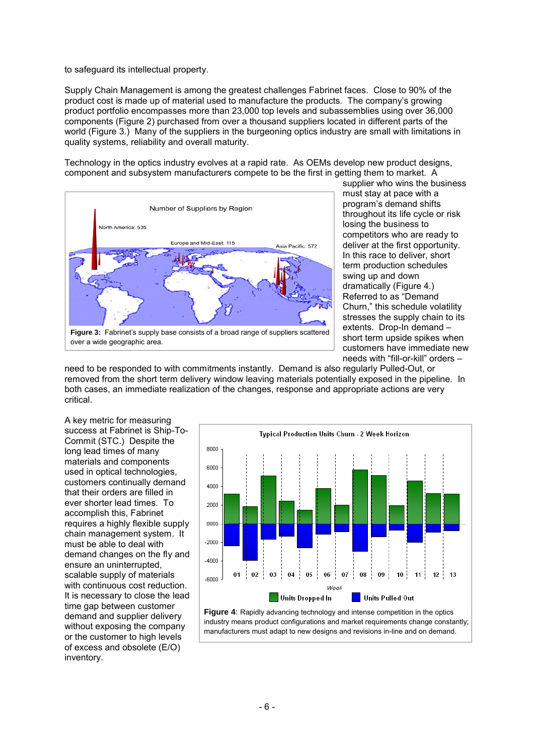to safeguard its intellectual property.

Supply Chain Management is among the greatest challenges Fabrinet faces. Close to 90% of the product cost is made up of material used to manufacture the products. The company's growing product portfolio encompasses more than 23,000 top levels and subassemblies using over 36,000 components (Figure 2) purchased from over a thousand suppliers located in different parts of the world (Figure 3.) Many of the suppliers in the burgeoning optics industry are small with limitations in quality systems, reliability and overall maturity.

Technology in the optics industry evolves at a rapid rate. As OEMs develop new product designs, component and subsystem manufacturers compete to be the first in getting them to market. A



supplier who wins the business must stay at pace with a program's demand shifts throughout its life cycle or risk losing the business to competitors who are ready to deliver at the first opportunity. In this race to deliver, short term production schedules swing up and down dramatically (Figure 4.) Referred to as "Demand Churn," this schedule volatility stresses the supply chain to its extents. Drop-In demand – short term upside spikes when customers have immediate new needs with "fill-or-kill" orders –

need to be responded to with commitments instantly. Demand is also regularly Pulled-Out, or removed from the short term delivery window leaving materials potentially exposed in the pipeline. In both cases, an immediate realization of the changes, response and appropriate actions are very critical.

A key metric for measuring success at Fabrinet is Ship-To-Commit (STC.) Despite the long lead times of many materials and components used in optical technologies, customers continually demand that their orders are filled in ever shorter lead times. To accomplish this, Fabrinet requires a highly flexible supply chain management system. It must be able to deal with demand changes on the fly and ensure an uninterrupted, scalable supply of materials with continuous cost reduction. It is necessary to close the lead time gap between customer demand and supplier delivery without exposing the company or the customer to high levels of excess and obsolete (E/O) inventory.



**Figure 4:** Rapidly advancing technology and intense competition in the optics industry means product configurations and market requirements change constantly; manufacturers must adapt to new designs and revisions in-line and on demand.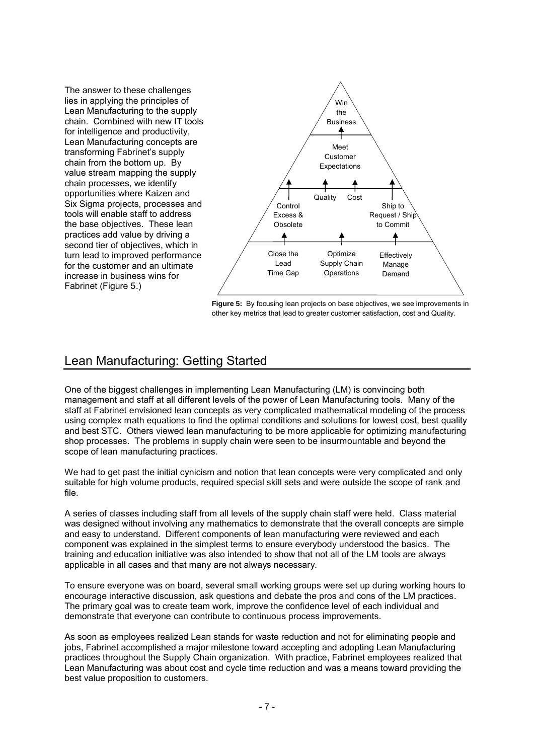The answer to these challenges lies in applying the principles of Lean Manufacturing to the supply chain. Combined with new IT tools for intelligence and productivity, Lean Manufacturing concepts are transforming Fabrinet's supply chain from the bottom up. By value stream mapping the supply chain processes, we identify opportunities where Kaizen and Six Sigma projects, processes and tools will enable staff to address the base objectives. These lean practices add value by driving a second tier of objectives, which in turn lead to improved performance for the customer and an ultimate increase in business wins for Fabrinet (Figure 5.)



**Figure 5:** By focusing lean projects on base objectives, we see improvements in other key metrics that lead to greater customer satisfaction, cost and Quality.

# Lean Manufacturing: Getting Started

One of the biggest challenges in implementing Lean Manufacturing (LM) is convincing both management and staff at all different levels of the power of Lean Manufacturing tools. Many of the staff at Fabrinet envisioned lean concepts as very complicated mathematical modeling of the process using complex math equations to find the optimal conditions and solutions for lowest cost, best quality and best STC. Others viewed lean manufacturing to be more applicable for optimizing manufacturing shop processes. The problems in supply chain were seen to be insurmountable and beyond the scope of lean manufacturing practices.

We had to get past the initial cynicism and notion that lean concepts were very complicated and only suitable for high volume products, required special skill sets and were outside the scope of rank and file.

A series of classes including staff from all levels of the supply chain staff were held. Class material was designed without involving any mathematics to demonstrate that the overall concepts are simple and easy to understand. Different components of lean manufacturing were reviewed and each component was explained in the simplest terms to ensure everybody understood the basics. The training and education initiative was also intended to show that not all of the LM tools are always applicable in all cases and that many are not always necessary.

To ensure everyone was on board, several small working groups were set up during working hours to encourage interactive discussion, ask questions and debate the pros and cons of the LM practices. The primary goal was to create team work, improve the confidence level of each individual and demonstrate that everyone can contribute to continuous process improvements.

As soon as employees realized Lean stands for waste reduction and not for eliminating people and jobs, Fabrinet accomplished a major milestone toward accepting and adopting Lean Manufacturing practices throughout the Supply Chain organization. With practice, Fabrinet employees realized that Lean Manufacturing was about cost and cycle time reduction and was a means toward providing the best value proposition to customers.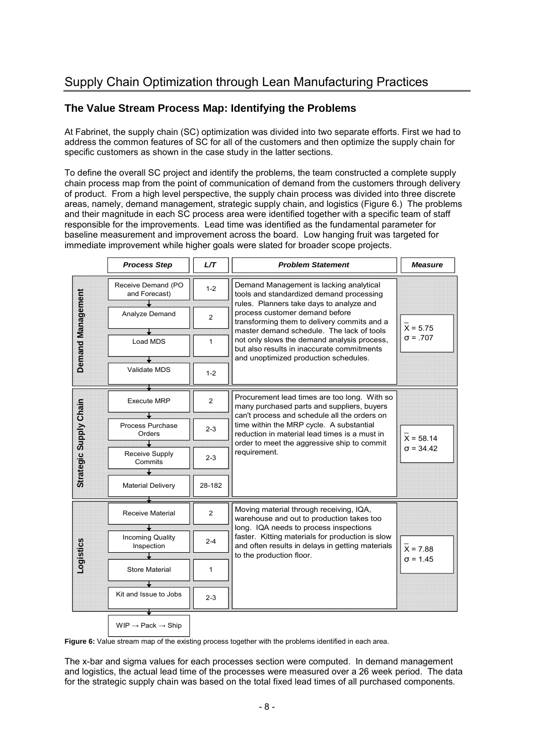## **The Value Stream Process Map: Identifying the Problems**

At Fabrinet, the supply chain (SC) optimization was divided into two separate efforts. First we had to address the common features of SC for all of the customers and then optimize the supply chain for specific customers as shown in the case study in the latter sections.

To define the overall SC project and identify the problems, the team constructed a complete supply chain process map from the point of communication of demand from the customers through delivery of product. From a high level perspective, the supply chain process was divided into three discrete areas, namely, demand management, strategic supply chain, and logistics (Figure 6.) The problems and their magnitude in each SC process area were identified together with a specific team of staff responsible for the improvements. Lead time was identified as the fundamental parameter for baseline measurement and improvement across the board. Low hanging fruit was targeted for immediate improvement while higher goals were slated for broader scope projects.

|                          | <b>Process Step</b>                                                                                                | L/T                                                  | <b>Problem Statement</b>                                                                                                                                                                                                                                                                                                                                                                            | <b>Measure</b>                  |
|--------------------------|--------------------------------------------------------------------------------------------------------------------|------------------------------------------------------|-----------------------------------------------------------------------------------------------------------------------------------------------------------------------------------------------------------------------------------------------------------------------------------------------------------------------------------------------------------------------------------------------------|---------------------------------|
| <b>Demand Management</b> | Receive Demand (PO<br>and Forecast)<br>Analyze Demand<br>Load MDS<br>Validate MDS                                  | $1 - 2$<br>$\overline{2}$<br>$\mathbf{1}$<br>$1 - 2$ | Demand Management is lacking analytical<br>tools and standardized demand processing<br>rules. Planners take days to analyze and<br>process customer demand before<br>transforming them to delivery commits and a<br>master demand schedule. The lack of tools<br>not only slows the demand analysis process,<br>but also results in inaccurate commitments<br>and unoptimized production schedules. | $X = 5.75$<br>$\sigma = .707$   |
| Strategic Supply Chain   | <b>Execute MRP</b><br>Process Purchase<br>Orders<br>Receive Supply<br>Commits<br><b>Material Delivery</b>          | $\overline{2}$<br>$2 - 3$<br>$2 - 3$<br>28-182       | Procurement lead times are too long. With so<br>many purchased parts and suppliers, buyers<br>can't process and schedule all the orders on<br>time within the MRP cycle. A substantial<br>reduction in material lead times is a must in<br>order to meet the aggressive ship to commit<br>requirement.                                                                                              | $X = 58.14$<br>$\sigma = 34.42$ |
| ogistics                 | <b>Receive Material</b><br><b>Incoming Quality</b><br>Inspection<br><b>Store Material</b><br>Kit and Issue to Jobs | $\overline{2}$<br>$2 - 4$<br>1<br>$2 - 3$            | Moving material through receiving, IQA,<br>warehouse and out to production takes too<br>long. IQA needs to process inspections<br>faster. Kitting materials for production is slow<br>and often results in delays in getting materials<br>to the production floor.                                                                                                                                  | $X = 7.88$<br>$\sigma$ = 1.45   |
|                          | $WIP \rightarrow Pack \rightarrow Ship$                                                                            |                                                      |                                                                                                                                                                                                                                                                                                                                                                                                     |                                 |

**Figure 6:** Value stream map of the existing process together with the problems identified in each area.

The x-bar and sigma values for each processes section were computed. In demand management and logistics, the actual lead time of the processes were measured over a 26 week period. The data for the strategic supply chain was based on the total fixed lead times of all purchased components.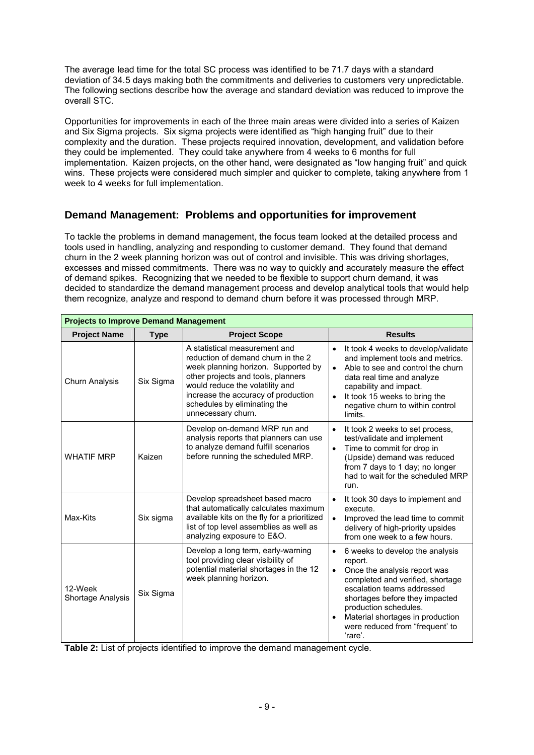The average lead time for the total SC process was identified to be 71.7 days with a standard deviation of 34.5 days making both the commitments and deliveries to customers very unpredictable. The following sections describe how the average and standard deviation was reduced to improve the overall STC.

Opportunities for improvements in each of the three main areas were divided into a series of Kaizen and Six Sigma projects. Six sigma projects were identified as "high hanging fruit" due to their complexity and the duration. These projects required innovation, development, and validation before they could be implemented. They could take anywhere from 4 weeks to 6 months for full implementation. Kaizen projects, on the other hand, were designated as "low hanging fruit" and quick wins. These projects were considered much simpler and quicker to complete, taking anywhere from 1 week to 4 weeks for full implementation.

## **Demand Management: Problems and opportunities for improvement**

To tackle the problems in demand management, the focus team looked at the detailed process and tools used in handling, analyzing and responding to customer demand. They found that demand churn in the 2 week planning horizon was out of control and invisible. This was driving shortages, excesses and missed commitments. There was no way to quickly and accurately measure the effect of demand spikes. Recognizing that we needed to be flexible to support churn demand, it was decided to standardize the demand management process and develop analytical tools that would help them recognize, analyze and respond to demand churn before it was processed through MRP.

| <b>Projects to Improve Demand Management</b> |             |                                                                                                                                                                                                                                                                                  |                                                                                                                                                                                                                                                                                                                                  |
|----------------------------------------------|-------------|----------------------------------------------------------------------------------------------------------------------------------------------------------------------------------------------------------------------------------------------------------------------------------|----------------------------------------------------------------------------------------------------------------------------------------------------------------------------------------------------------------------------------------------------------------------------------------------------------------------------------|
| <b>Project Name</b>                          | <b>Type</b> | <b>Project Scope</b>                                                                                                                                                                                                                                                             | <b>Results</b>                                                                                                                                                                                                                                                                                                                   |
| <b>Churn Analysis</b>                        | Six Sigma   | A statistical measurement and<br>reduction of demand churn in the 2<br>week planning horizon. Supported by<br>other projects and tools, planners<br>would reduce the volatility and<br>increase the accuracy of production<br>schedules by eliminating the<br>unnecessary churn. | It took 4 weeks to develop/validate<br>$\bullet$<br>and implement tools and metrics.<br>Able to see and control the churn<br>$\bullet$<br>data real time and analyze<br>capability and impact.<br>It took 15 weeks to bring the<br>$\bullet$<br>negative churn to within control<br>limits.                                      |
| <b>WHATIF MRP</b>                            | Kaizen      | Develop on-demand MRP run and<br>analysis reports that planners can use<br>to analyze demand fulfill scenarios<br>before running the scheduled MRP.                                                                                                                              | $\bullet$<br>It took 2 weeks to set process,<br>test/validate and implement<br>Time to commit for drop in<br>$\bullet$<br>(Upside) demand was reduced<br>from 7 days to 1 day; no longer<br>had to wait for the scheduled MRP<br>run.                                                                                            |
| Max-Kits                                     | Six sigma   | Develop spreadsheet based macro<br>that automatically calculates maximum<br>available kits on the fly for a prioritized<br>list of top level assemblies as well as<br>analyzing exposure to E&O.                                                                                 | $\bullet$<br>It took 30 days to implement and<br>execute.<br>Improved the lead time to commit<br>$\bullet$<br>delivery of high-priority upsides<br>from one week to a few hours.                                                                                                                                                 |
| 12-Week<br>Shortage Analysis                 | Six Sigma   | Develop a long term, early-warning<br>tool providing clear visibility of<br>potential material shortages in the 12<br>week planning horizon.                                                                                                                                     | 6 weeks to develop the analysis<br>$\bullet$<br>report.<br>Once the analysis report was<br>$\bullet$<br>completed and verified, shortage<br>escalation teams addressed<br>shortages before they impacted<br>production schedules.<br>Material shortages in production<br>$\bullet$<br>were reduced from "frequent' to<br>'rare'. |

**Table 2:** List of projects identified to improve the demand management cycle.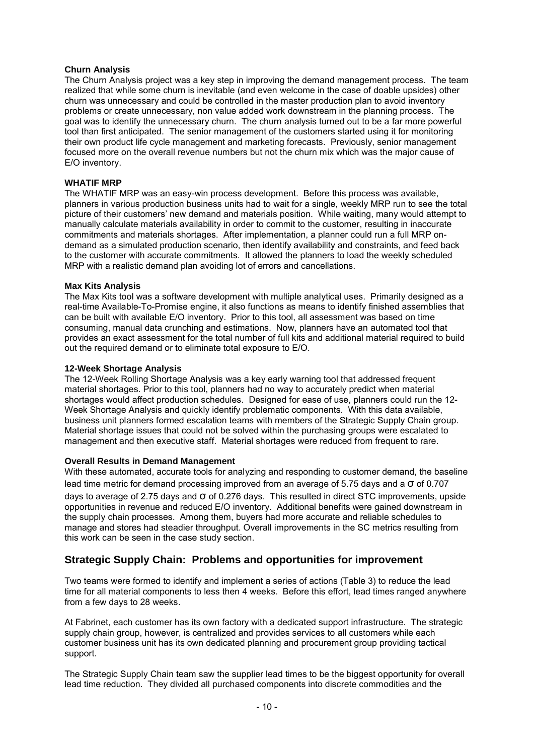## **Churn Analysis**

The Churn Analysis project was a key step in improving the demand management process. The team realized that while some churn is inevitable (and even welcome in the case of doable upsides) other churn was unnecessary and could be controlled in the master production plan to avoid inventory problems or create unnecessary, non value added work downstream in the planning process. The goal was to identify the unnecessary churn. The churn analysis turned out to be a far more powerful tool than first anticipated. The senior management of the customers started using it for monitoring their own product life cycle management and marketing forecasts. Previously, senior management focused more on the overall revenue numbers but not the churn mix which was the major cause of E/O inventory.

## **WHATIF MRP**

The WHATIF MRP was an easy-win process development. Before this process was available, planners in various production business units had to wait for a single, weekly MRP run to see the total picture of their customers' new demand and materials position. While waiting, many would attempt to manually calculate materials availability in order to commit to the customer, resulting in inaccurate commitments and materials shortages. After implementation, a planner could run a full MRP ondemand as a simulated production scenario, then identify availability and constraints, and feed back to the customer with accurate commitments. It allowed the planners to load the weekly scheduled MRP with a realistic demand plan avoiding lot of errors and cancellations.

## **Max Kits Analysis**

The Max Kits tool was a software development with multiple analytical uses. Primarily designed as a real-time Available-To-Promise engine, it also functions as means to identify finished assemblies that can be built with available E/O inventory. Prior to this tool, all assessment was based on time consuming, manual data crunching and estimations. Now, planners have an automated tool that provides an exact assessment for the total number of full kits and additional material required to build out the required demand or to eliminate total exposure to E/O.

## **12-Week Shortage Analysis**

The 12-Week Rolling Shortage Analysis was a key early warning tool that addressed frequent material shortages. Prior to this tool, planners had no way to accurately predict when material shortages would affect production schedules. Designed for ease of use, planners could run the 12- Week Shortage Analysis and quickly identify problematic components. With this data available, business unit planners formed escalation teams with members of the Strategic Supply Chain group. Material shortage issues that could not be solved within the purchasing groups were escalated to management and then executive staff. Material shortages were reduced from frequent to rare.

### **Overall Results in Demand Management**

With these automated, accurate tools for analyzing and responding to customer demand, the baseline lead time metric for demand processing improved from an average of 5.75 days and a σ of 0.707 days to average of 2.75 days and σ of 0.276 days. This resulted in direct STC improvements, upside opportunities in revenue and reduced E/O inventory. Additional benefits were gained downstream in the supply chain processes. Among them, buyers had more accurate and reliable schedules to manage and stores had steadier throughput. Overall improvements in the SC metrics resulting from this work can be seen in the case study section.

## **Strategic Supply Chain: Problems and opportunities for improvement**

Two teams were formed to identify and implement a series of actions (Table 3) to reduce the lead time for all material components to less then 4 weeks. Before this effort, lead times ranged anywhere from a few days to 28 weeks.

At Fabrinet, each customer has its own factory with a dedicated support infrastructure. The strategic supply chain group, however, is centralized and provides services to all customers while each customer business unit has its own dedicated planning and procurement group providing tactical support.

The Strategic Supply Chain team saw the supplier lead times to be the biggest opportunity for overall lead time reduction. They divided all purchased components into discrete commodities and the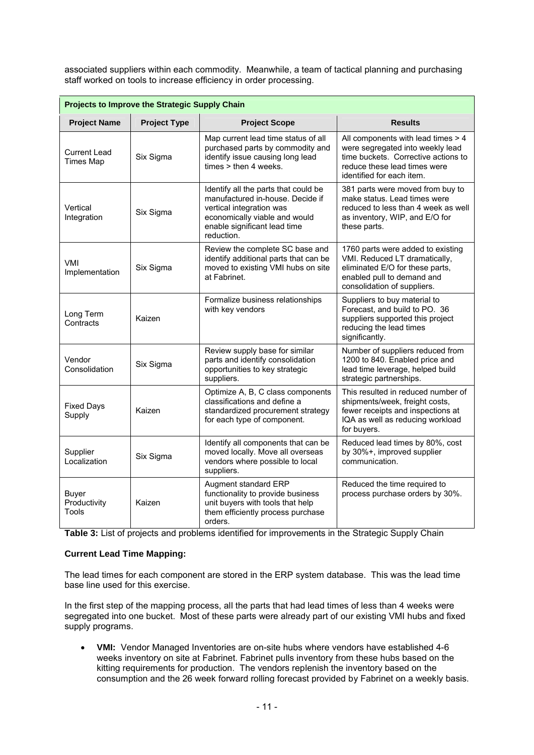associated suppliers within each commodity. Meanwhile, a team of tactical planning and purchasing staff worked on tools to increase efficiency in order processing.

| Projects to Improve the Strategic Supply Chain |                     |                                                                                                                                                                                     |                                                                                                                                                                            |
|------------------------------------------------|---------------------|-------------------------------------------------------------------------------------------------------------------------------------------------------------------------------------|----------------------------------------------------------------------------------------------------------------------------------------------------------------------------|
| <b>Project Name</b>                            | <b>Project Type</b> | <b>Project Scope</b>                                                                                                                                                                | <b>Results</b>                                                                                                                                                             |
| <b>Current Lead</b><br><b>Times Map</b>        | Six Sigma           | Map current lead time status of all<br>purchased parts by commodity and<br>identify issue causing long lead<br>$times >$ then 4 weeks.                                              | All components with lead times > 4<br>were segregated into weekly lead<br>time buckets. Corrective actions to<br>reduce these lead times were<br>identified for each item. |
| Vertical<br>Integration                        | Six Sigma           | Identify all the parts that could be<br>manufactured in-house. Decide if<br>vertical integration was<br>economically viable and would<br>enable significant lead time<br>reduction. | 381 parts were moved from buy to<br>make status. Lead times were<br>reduced to less than 4 week as well<br>as inventory, WIP, and E/O for<br>these parts.                  |
| VMI<br>Implementation                          | Six Sigma           | Review the complete SC base and<br>identify additional parts that can be<br>moved to existing VMI hubs on site<br>at Fabrinet.                                                      | 1760 parts were added to existing<br>VMI. Reduced LT dramatically,<br>eliminated E/O for these parts,<br>enabled pull to demand and<br>consolidation of suppliers.         |
| Long Term<br>Contracts                         | Kaizen              | Formalize business relationships<br>with key vendors                                                                                                                                | Suppliers to buy material to<br>Forecast, and build to PO. 36<br>suppliers supported this project<br>reducing the lead times<br>significantly.                             |
| Vendor<br>Consolidation                        | Six Sigma           | Review supply base for similar<br>parts and identify consolidation<br>opportunities to key strategic<br>suppliers.                                                                  | Number of suppliers reduced from<br>1200 to 840. Enabled price and<br>lead time leverage, helped build<br>strategic partnerships.                                          |
| <b>Fixed Days</b><br>Supply                    | Kaizen              | Optimize A, B, C class components<br>classifications and define a<br>standardized procurement strategy<br>for each type of component.                                               | This resulted in reduced number of<br>shipments/week, freight costs,<br>fewer receipts and inspections at<br>IQA as well as reducing workload<br>for buyers.               |
| Supplier<br>Localization                       | Six Sigma           | Identify all components that can be<br>moved locally. Move all overseas<br>vendors where possible to local<br>suppliers.                                                            | Reduced lead times by 80%, cost<br>by 30%+, improved supplier<br>communication.                                                                                            |
| <b>Buyer</b><br>Productivity<br>Tools          | Kaizen              | Augment standard ERP<br>functionality to provide business<br>unit buyers with tools that help<br>them efficiently process purchase<br>orders.                                       | Reduced the time required to<br>process purchase orders by 30%.                                                                                                            |

**Table 3:** List of projects and problems identified for improvements in the Strategic Supply Chain

## **Current Lead Time Mapping:**

The lead times for each component are stored in the ERP system database. This was the lead time base line used for this exercise.

In the first step of the mapping process, all the parts that had lead times of less than 4 weeks were segregated into one bucket. Most of these parts were already part of our existing VMI hubs and fixed supply programs.

 **VMI:** Vendor Managed Inventories are on-site hubs where vendors have established 4-6 weeks inventory on site at Fabrinet. Fabrinet pulls inventory from these hubs based on the kitting requirements for production. The vendors replenish the inventory based on the consumption and the 26 week forward rolling forecast provided by Fabrinet on a weekly basis.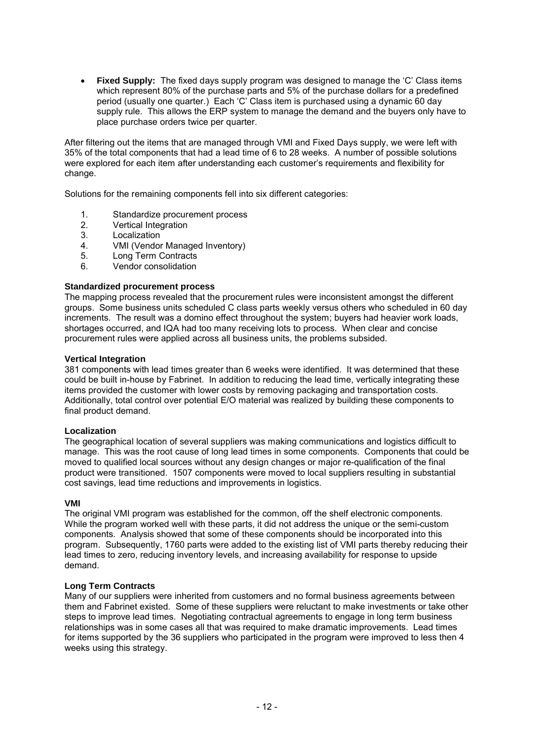**Fixed Supply:** The fixed days supply program was designed to manage the 'C' Class items which represent 80% of the purchase parts and 5% of the purchase dollars for a predefined period (usually one quarter.) Each 'C' Class item is purchased using a dynamic 60 day supply rule. This allows the ERP system to manage the demand and the buyers only have to place purchase orders twice per quarter.

After filtering out the items that are managed through VMI and Fixed Days supply, we were left with 35% of the total components that had a lead time of 6 to 28 weeks. A number of possible solutions were explored for each item after understanding each customer's requirements and flexibility for change.

Solutions for the remaining components fell into six different categories:

- 1. Standardize procurement process<br>2 Vertical Integration
- Vertical Integration
- 3. Localization
- 4. VMI (Vendor Managed Inventory)<br>5. Long Term Contracts
- Long Term Contracts
- 6. Vendor consolidation

### **Standardized procurement process**

The mapping process revealed that the procurement rules were inconsistent amongst the different groups. Some business units scheduled C class parts weekly versus others who scheduled in 60 day increments. The result was a domino effect throughout the system; buyers had heavier work loads, shortages occurred, and IQA had too many receiving lots to process. When clear and concise procurement rules were applied across all business units, the problems subsided.

### **Vertical Integration**

381 components with lead times greater than 6 weeks were identified. It was determined that these could be built in-house by Fabrinet. In addition to reducing the lead time, vertically integrating these items provided the customer with lower costs by removing packaging and transportation costs. Additionally, total control over potential E/O material was realized by building these components to final product demand.

### **Localization**

The geographical location of several suppliers was making communications and logistics difficult to manage. This was the root cause of long lead times in some components. Components that could be moved to qualified local sources without any design changes or major re-qualification of the final product were transitioned. 1507 components were moved to local suppliers resulting in substantial cost savings, lead time reductions and improvements in logistics.

### **VMI**

The original VMI program was established for the common, off the shelf electronic components. While the program worked well with these parts, it did not address the unique or the semi-custom components. Analysis showed that some of these components should be incorporated into this program. Subsequently, 1760 parts were added to the existing list of VMI parts thereby reducing their lead times to zero, reducing inventory levels, and increasing availability for response to upside demand.

### **Long Term Contracts**

Many of our suppliers were inherited from customers and no formal business agreements between them and Fabrinet existed. Some of these suppliers were reluctant to make investments or take other steps to improve lead times. Negotiating contractual agreements to engage in long term business relationships was in some cases all that was required to make dramatic improvements. Lead times for items supported by the 36 suppliers who participated in the program were improved to less then 4 weeks using this strategy.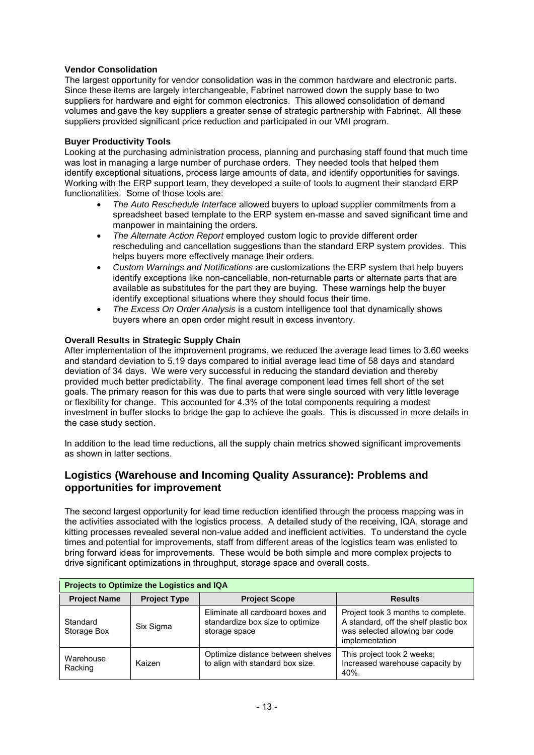## **Vendor Consolidation**

The largest opportunity for vendor consolidation was in the common hardware and electronic parts. Since these items are largely interchangeable, Fabrinet narrowed down the supply base to two suppliers for hardware and eight for common electronics. This allowed consolidation of demand volumes and gave the key suppliers a greater sense of strategic partnership with Fabrinet. All these suppliers provided significant price reduction and participated in our VMI program.

## **Buyer Productivity Tools**

Looking at the purchasing administration process, planning and purchasing staff found that much time was lost in managing a large number of purchase orders. They needed tools that helped them identify exceptional situations, process large amounts of data, and identify opportunities for savings. Working with the ERP support team, they developed a suite of tools to augment their standard ERP functionalities. Some of those tools are:

- *The Auto Reschedule Interface* allowed buyers to upload supplier commitments from a spreadsheet based template to the ERP system en-masse and saved significant time and manpower in maintaining the orders.
- *The Alternate Action Report* employed custom logic to provide different order rescheduling and cancellation suggestions than the standard ERP system provides. This helps buyers more effectively manage their orders.
- *Custom Warnings and Notifications* are customizations the ERP system that help buyers identify exceptions like non-cancellable, non-returnable parts or alternate parts that are available as substitutes for the part they are buying. These warnings help the buyer identify exceptional situations where they should focus their time.
- *The Excess On Order Analysis* is a custom intelligence tool that dynamically shows buyers where an open order might result in excess inventory.

## **Overall Results in Strategic Supply Chain**

After implementation of the improvement programs, we reduced the average lead times to 3.60 weeks and standard deviation to 5.19 days compared to initial average lead time of 58 days and standard deviation of 34 days. We were very successful in reducing the standard deviation and thereby provided much better predictability. The final average component lead times fell short of the set goals. The primary reason for this was due to parts that were single sourced with very little leverage or flexibility for change. This accounted for 4.3% of the total components requiring a modest investment in buffer stocks to bridge the gap to achieve the goals. This is discussed in more details in the case study section.

In addition to the lead time reductions, all the supply chain metrics showed significant improvements as shown in latter sections.

## **Logistics (Warehouse and Incoming Quality Assurance): Problems and opportunities for improvement**

The second largest opportunity for lead time reduction identified through the process mapping was in the activities associated with the logistics process. A detailed study of the receiving, IQA, storage and kitting processes revealed several non-value added and inefficient activities. To understand the cycle times and potential for improvements, staff from different areas of the logistics team was enlisted to bring forward ideas for improvements. These would be both simple and more complex projects to drive significant optimizations in throughput, storage space and overall costs.

| Projects to Optimize the Logistics and IQA |                     |                                                                                        |                                                                                                                                 |
|--------------------------------------------|---------------------|----------------------------------------------------------------------------------------|---------------------------------------------------------------------------------------------------------------------------------|
| <b>Project Name</b>                        | <b>Project Type</b> | <b>Project Scope</b>                                                                   | <b>Results</b>                                                                                                                  |
| Standard<br>Storage Box                    | Six Sigma           | Eliminate all cardboard boxes and<br>standardize box size to optimize<br>storage space | Project took 3 months to complete.<br>A standard, off the shelf plastic box<br>was selected allowing bar code<br>implementation |
| Warehouse<br>Racking                       | Kaizen              | Optimize distance between shelves<br>to align with standard box size.                  | This project took 2 weeks;<br>Increased warehouse capacity by<br>40%.                                                           |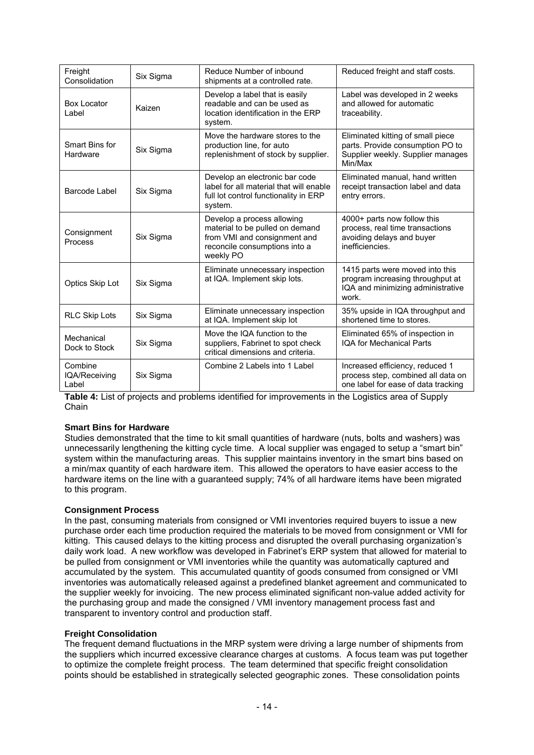| Freight<br>Consolidation          | Six Sigma | Reduce Number of inbound<br>shipments at a controlled rate.                                                                                 | Reduced freight and staff costs.                                                                                      |
|-----------------------------------|-----------|---------------------------------------------------------------------------------------------------------------------------------------------|-----------------------------------------------------------------------------------------------------------------------|
| <b>Box Locator</b><br>Label       | Kaizen    | Develop a label that is easily<br>readable and can be used as<br>location identification in the ERP<br>system.                              | Label was developed in 2 weeks<br>and allowed for automatic<br>traceability.                                          |
| Smart Bins for<br>Hardware        | Six Sigma | Move the hardware stores to the<br>production line, for auto<br>replenishment of stock by supplier.                                         | Eliminated kitting of small piece<br>parts. Provide consumption PO to<br>Supplier weekly. Supplier manages<br>Min/Max |
| Barcode Label                     | Six Sigma | Develop an electronic bar code<br>label for all material that will enable<br>full lot control functionality in ERP<br>system.               | Eliminated manual, hand written<br>receipt transaction label and data<br>entry errors.                                |
| Consignment<br>Process            | Six Sigma | Develop a process allowing<br>material to be pulled on demand<br>from VMI and consignment and<br>reconcile consumptions into a<br>weekly PO | 4000+ parts now follow this<br>process, real time transactions<br>avoiding delays and buyer<br>inefficiencies.        |
| Optics Skip Lot                   | Six Sigma | Eliminate unnecessary inspection<br>at IQA. Implement skip lots.                                                                            | 1415 parts were moved into this<br>program increasing throughput at<br>IQA and minimizing administrative<br>work.     |
| <b>RLC Skip Lots</b>              | Six Sigma | Eliminate unnecessary inspection<br>at IQA. Implement skip lot                                                                              | 35% upside in IQA throughput and<br>shortened time to stores.                                                         |
| Mechanical<br>Dock to Stock       | Six Sigma | Move the IQA function to the<br>suppliers, Fabrinet to spot check<br>critical dimensions and criteria.                                      | Eliminated 65% of inspection in<br><b>IQA for Mechanical Parts</b>                                                    |
| Combine<br>IQA/Receiving<br>Label | Six Sigma | Combine 2 Labels into 1 Label                                                                                                               | Increased efficiency, reduced 1<br>process step, combined all data on<br>one label for ease of data tracking          |

**Table 4:** List of projects and problems identified for improvements in the Logistics area of Supply Chain

## **Smart Bins for Hardware**

Studies demonstrated that the time to kit small quantities of hardware (nuts, bolts and washers) was unnecessarily lengthening the kitting cycle time. A local supplier was engaged to setup a "smart bin" system within the manufacturing areas. This supplier maintains inventory in the smart bins based on a min/max quantity of each hardware item. This allowed the operators to have easier access to the hardware items on the line with a guaranteed supply: 74% of all hardware items have been migrated to this program.

## **Consignment Process**

In the past, consuming materials from consigned or VMI inventories required buyers to issue a new purchase order each time production required the materials to be moved from consignment or VMI for kitting. This caused delays to the kitting process and disrupted the overall purchasing organization's daily work load. A new workflow was developed in Fabrinet's ERP system that allowed for material to be pulled from consignment or VMI inventories while the quantity was automatically captured and accumulated by the system. This accumulated quantity of goods consumed from consigned or VMI inventories was automatically released against a predefined blanket agreement and communicated to the supplier weekly for invoicing. The new process eliminated significant non-value added activity for the purchasing group and made the consigned / VMI inventory management process fast and transparent to inventory control and production staff.

## **Freight Consolidation**

The frequent demand fluctuations in the MRP system were driving a large number of shipments from the suppliers which incurred excessive clearance charges at customs. A focus team was put together to optimize the complete freight process. The team determined that specific freight consolidation points should be established in strategically selected geographic zones. These consolidation points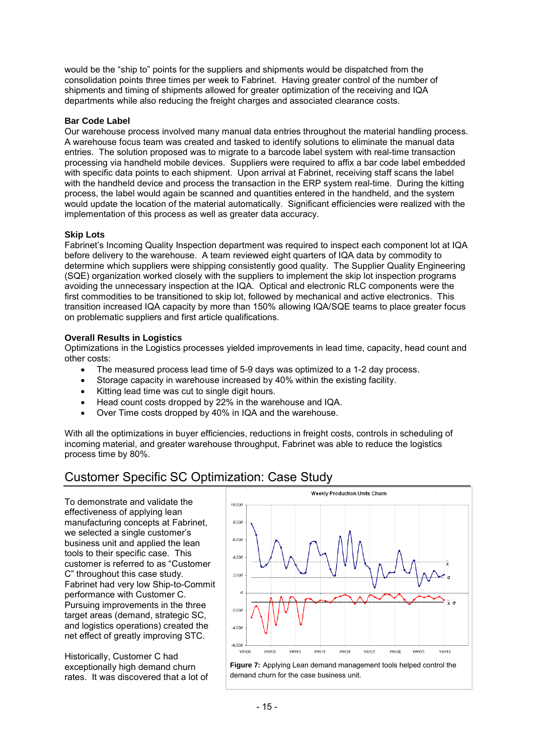would be the "ship to" points for the suppliers and shipments would be dispatched from the consolidation points three times per week to Fabrinet. Having greater control of the number of shipments and timing of shipments allowed for greater optimization of the receiving and IQA departments while also reducing the freight charges and associated clearance costs.

## **Bar Code Label**

Our warehouse process involved many manual data entries throughout the material handling process. A warehouse focus team was created and tasked to identify solutions to eliminate the manual data entries. The solution proposed was to migrate to a barcode label system with real-time transaction processing via handheld mobile devices. Suppliers were required to affix a bar code label embedded with specific data points to each shipment. Upon arrival at Fabrinet, receiving staff scans the label with the handheld device and process the transaction in the ERP system real-time. During the kitting process, the label would again be scanned and quantities entered in the handheld, and the system would update the location of the material automatically. Significant efficiencies were realized with the implementation of this process as well as greater data accuracy.

### **Skip Lots**

Fabrinet's Incoming Quality Inspection department was required to inspect each component lot at IQA before delivery to the warehouse. A team reviewed eight quarters of IQA data by commodity to determine which suppliers were shipping consistently good quality. The Supplier Quality Engineering (SQE) organization worked closely with the suppliers to implement the skip lot inspection programs avoiding the unnecessary inspection at the IQA. Optical and electronic RLC components were the first commodities to be transitioned to skip lot, followed by mechanical and active electronics. This transition increased IQA capacity by more than 150% allowing IQA/SQE teams to place greater focus on problematic suppliers and first article qualifications.

## **Overall Results in Logistics**

Optimizations in the Logistics processes yielded improvements in lead time, capacity, head count and other costs:

- The measured process lead time of 5-9 days was optimized to a 1-2 day process.
- Storage capacity in warehouse increased by 40% within the existing facility.
- Kitting lead time was cut to single digit hours.
- Head count costs dropped by 22% in the warehouse and IQA.
- Over Time costs dropped by 40% in IQA and the warehouse.

With all the optimizations in buyer efficiencies, reductions in freight costs, controls in scheduling of incoming material, and greater warehouse throughput, Fabrinet was able to reduce the logistics process time by 80%.

## Customer Specific SC Optimization: Case Study

To demonstrate and validate the effectiveness of applying lean manufacturing concepts at Fabrinet, we selected a single customer's business unit and applied the lean tools to their specific case. This customer is referred to as "Customer C" throughout this case study. Fabrinet had very low Ship-to-Commit performance with Customer C. Pursuing improvements in the three target areas (demand, strategic SC, and logistics operations) created the net effect of greatly improving STC.

Historically, Customer C had exceptionally high demand churn rates. It was discovered that a lot of



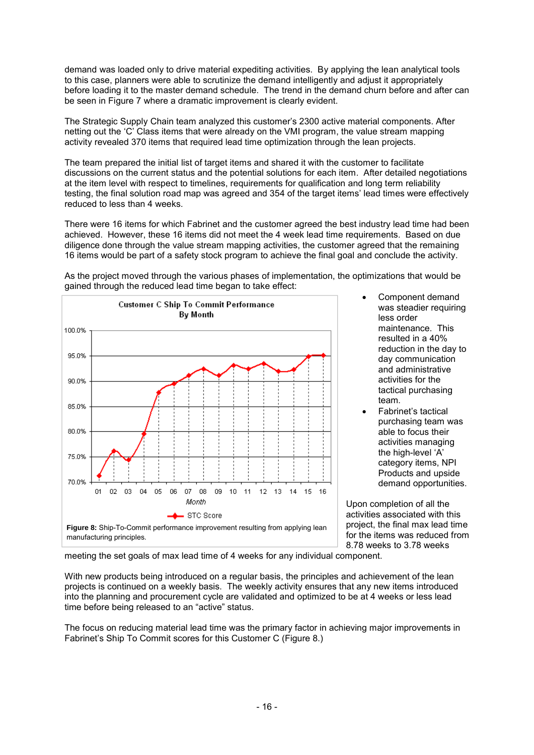demand was loaded only to drive material expediting activities. By applying the lean analytical tools to this case, planners were able to scrutinize the demand intelligently and adjust it appropriately before loading it to the master demand schedule. The trend in the demand churn before and after can be seen in Figure 7 where a dramatic improvement is clearly evident.

The Strategic Supply Chain team analyzed this customer's 2300 active material components. After netting out the 'C' Class items that were already on the VMI program, the value stream mapping activity revealed 370 items that required lead time optimization through the lean projects.

The team prepared the initial list of target items and shared it with the customer to facilitate discussions on the current status and the potential solutions for each item. After detailed negotiations at the item level with respect to timelines, requirements for qualification and long term reliability testing, the final solution road map was agreed and 354 of the target items' lead times were effectively reduced to less than 4 weeks.

There were 16 items for which Fabrinet and the customer agreed the best industry lead time had been achieved. However, these 16 items did not meet the 4 week lead time requirements. Based on due diligence done through the value stream mapping activities, the customer agreed that the remaining 16 items would be part of a safety stock program to achieve the final goal and conclude the activity.



As the project moved through the various phases of implementation, the optimizations that would be gained through the reduced lead time began to take effect:

- Component demand was steadier requiring less order maintenance. This resulted in a 40% reduction in the day to day communication and administrative activities for the tactical purchasing team.
- Fabrinet's tactical purchasing team was able to focus their activities managing the high-level 'A' category items, NPI Products and upside demand opportunities.

Upon completion of all the activities associated with this project, the final max lead time for the items was reduced from 8.78 weeks to 3.78 weeks

meeting the set goals of max lead time of 4 weeks for any individual component.

With new products being introduced on a regular basis, the principles and achievement of the lean projects is continued on a weekly basis. The weekly activity ensures that any new items introduced into the planning and procurement cycle are validated and optimized to be at 4 weeks or less lead time before being released to an "active" status.

The focus on reducing material lead time was the primary factor in achieving major improvements in Fabrinet's Ship To Commit scores for this Customer C (Figure 8.)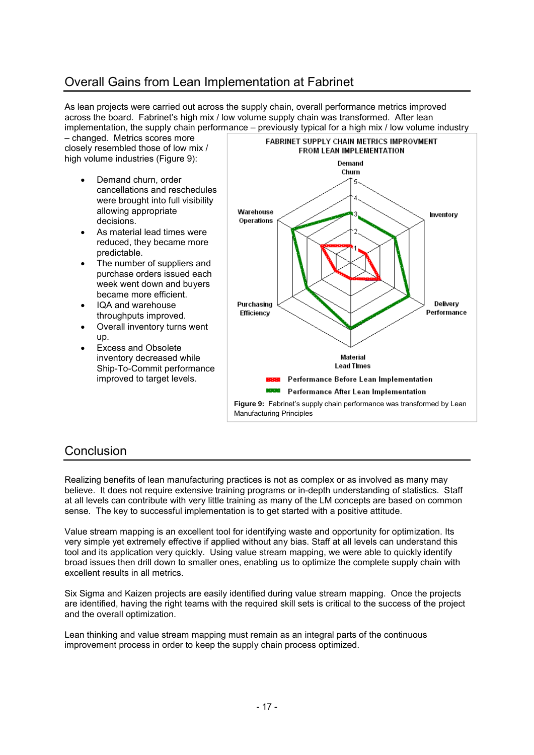# Overall Gains from Lean Implementation at Fabrinet

As lean projects were carried out across the supply chain, overall performance metrics improved across the board. Fabrinet's high mix / low volume supply chain was transformed. After lean implementation, the supply chain performance – previously typical for a high mix / low volume industry

– changed. Metrics scores more closely resembled those of low mix / high volume industries (Figure 9):

- Demand churn, order cancellations and reschedules were brought into full visibility allowing appropriate decisions.
- As material lead times were reduced, they became more predictable.
- The number of suppliers and purchase orders issued each week went down and buyers became more efficient.
- IQA and warehouse throughputs improved.
- Overall inventory turns went up.
- Excess and Obsolete inventory decreased while Ship-To-Commit performance improved to target levels.



## Conclusion

Realizing benefits of lean manufacturing practices is not as complex or as involved as many may believe. It does not require extensive training programs or in-depth understanding of statistics. Staff at all levels can contribute with very little training as many of the LM concepts are based on common sense. The key to successful implementation is to get started with a positive attitude.

Value stream mapping is an excellent tool for identifying waste and opportunity for optimization. Its very simple yet extremely effective if applied without any bias. Staff at all levels can understand this tool and its application very quickly. Using value stream mapping, we were able to quickly identify broad issues then drill down to smaller ones, enabling us to optimize the complete supply chain with excellent results in all metrics.

Six Sigma and Kaizen projects are easily identified during value stream mapping. Once the projects are identified, having the right teams with the required skill sets is critical to the success of the project and the overall optimization.

Lean thinking and value stream mapping must remain as an integral parts of the continuous improvement process in order to keep the supply chain process optimized.